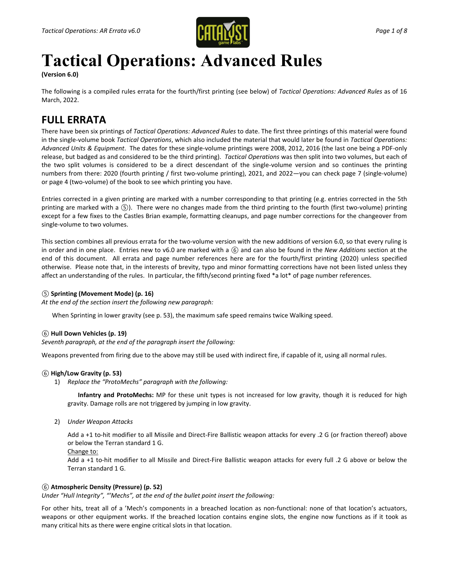

# **Tactical Operations: Advanced Rules**

**(Version 6.0)**

The following is a compiled rules errata for the fourth/first printing (see below) of *Tactical Operations: Advanced Rules* as of 16 March, 2022.

# **FULL ERRATA**

There have been six printings of *Tactical Operations: Advanced Rules* to date. The first three printings of this material were found in the single-volume book *Tactical Operations*, which also included the material that would later be found in *Tactical Operations: Advanced Units & Equipment*. The dates for these single-volume printings were 2008, 2012, 2016 (the last one being a PDF-only release, but badged as and considered to be the third printing). *Tactical Operations* was then split into two volumes, but each of the two split volumes is considered to be a direct descendant of the single-volume version and so continues the printing numbers from there: 2020 (fourth printing / first two-volume printing), 2021, and 2022—you can check page 7 (single-volume) or page 4 (two-volume) of the book to see which printing you have.

Entries corrected in a given printing are marked with a number corresponding to that printing (e.g. entries corrected in the 5th printing are marked with a *⑤*). There were no changes made from the third printing to the fourth (first two-volume) printing except for a few fixes to the Castles Brian example, formatting cleanups, and page number corrections for the changeover from single-volume to two volumes.

This section combines all previous errata for the two-volume version with the new additions of version 6.0, so that every ruling is in order and in one place. Entries new to v6.0 are marked with a *⑥* and can also be found in the *New Additions* section at the end of this document. All errata and page number references here are for the fourth/first printing (2020) unless specified otherwise. Please note that, in the interests of brevity, typo and minor formatting corrections have not been listed unless they affect an understanding of the rules. In particular, the fifth/second printing fixed \*a lot\* of page number references.

# *⑤* **Sprinting (Movement Mode) (p. 16)**

*At the end of the section insert the following new paragraph:*

When Sprinting in lower gravity (see p. 53), the maximum safe speed remains twice Walking speed.

# *⑥* **Hull Down Vehicles (p. 19)**

*Seventh paragraph, at the end of the paragraph insert the following:*

Weapons prevented from firing due to the above may still be used with indirect fire, if capable of it, using all normal rules.

# *⑥* **High/Low Gravity (p. 53)**

1) *Replace the "ProtoMechs" paragraph with the following:*

**Infantry and ProtoMechs:** MP for these unit types is not increased for low gravity, though it is reduced for high gravity. Damage rolls are not triggered by jumping in low gravity.

2) *Under Weapon Attacks*

Add a +1 to-hit modifier to all Missile and Direct-Fire Ballistic weapon attacks for every .2 G (or fraction thereof) above or below the Terran standard 1 G.

Change to:

Add a +1 to-hit modifier to all Missile and Direct-Fire Ballistic weapon attacks for every full .2 G above or below the Terran standard 1 G.

# *⑥* **Atmospheric Density (Pressure) (p. 52)**

*Under "Hull Integrity", "'Mechs", at the end of the bullet point insert the following:*

For other hits, treat all of a 'Mech's components in a breached location as non-functional: none of that location's actuators, weapons or other equipment works. If the breached location contains engine slots, the engine now functions as if it took as many critical hits as there were engine critical slots in that location.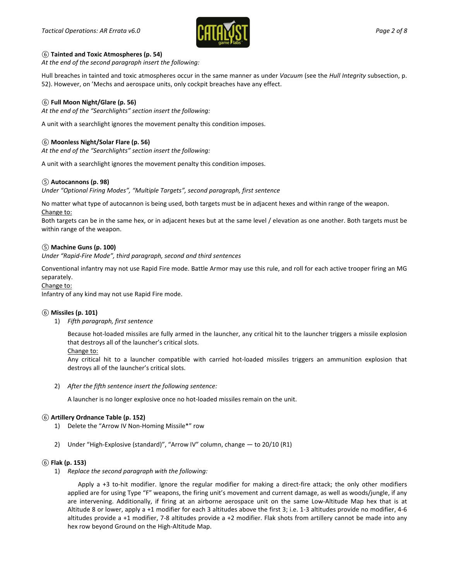

#### *⑥* **Tainted and Toxic Atmospheres (p. 54)**

*At the end of the second paragraph insert the following:*

Hull breaches in tainted and toxic atmospheres occur in the same manner as under *Vacuum* (see the *Hull Integrity* subsection, p. 52). However, on 'Mechs and aerospace units, only cockpit breaches have any effect.

#### *⑥* **Full Moon Night/Glare (p. 56)**

*At the end of the "Searchlights" section insert the following:*

A unit with a searchlight ignores the movement penalty this condition imposes.

### *⑥* **Moonless Night/Solar Flare (p. 56)**

*At the end of the "Searchlights" section insert the following:*

A unit with a searchlight ignores the movement penalty this condition imposes.

#### *⑤* **Autocannons (p. 98)**

*Under "Optional Firing Modes", "Multiple Targets", second paragraph, first sentence*

No matter what type of autocannon is being used, both targets must be in adjacent hexes and within range of the weapon. Change to:

Both targets can be in the same hex, or in adjacent hexes but at the same level / elevation as one another. Both targets must be within range of the weapon.

#### *⑤* **Machine Guns (p. 100)**

*Under "Rapid-Fire Mode", third paragraph, second and third sentences*

Conventional infantry may not use Rapid Fire mode. Battle Armor may use this rule, and roll for each active trooper firing an MG separately.

#### Change to:

Infantry of any kind may not use Rapid Fire mode.

#### *⑥* **Missiles (p. 101)**

1) *Fifth paragraph, first sentence*

Because hot-loaded missiles are fully armed in the launcher, any critical hit to the launcher triggers a missile explosion that destroys all of the launcher's critical slots.

Change to:

Any critical hit to a launcher compatible with carried hot-loaded missiles triggers an ammunition explosion that destroys all of the launcher's critical slots.

2) *After the fifth sentence insert the following sentence:*

A launcher is no longer explosive once no hot-loaded missiles remain on the unit.

#### *⑥* **Artillery Ordnance Table (p. 152)**

- 1) Delete the "Arrow IV Non-Homing Missile\*" row
- 2) Under "High-Explosive (standard)", "Arrow IV" column, change to 20/10 (R1)

#### *⑥* **Flak (p. 153)**

1) *Replace the second paragraph with the following:*

Apply a +3 to-hit modifier. Ignore the regular modifier for making a direct-fire attack; the only other modifiers applied are for using Type "F" weapons, the firing unit's movement and current damage, as well as woods/jungle, if any are intervening. Additionally, if firing at an airborne aerospace unit on the same Low-Altitude Map hex that is at Altitude 8 or lower, apply a +1 modifier for each 3 altitudes above the first 3; i.e. 1-3 altitudes provide no modifier, 4-6 altitudes provide a +1 modifier, 7-8 altitudes provide a +2 modifier. Flak shots from artillery cannot be made into any hex row beyond Ground on the High-Altitude Map.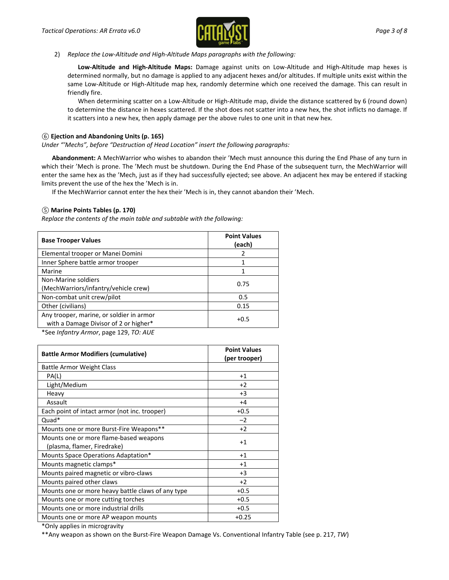

2) *Replace the Low-Altitude and High-Altitude Maps paragraphs with the following:*

**Low-Altitude and High-Altitude Maps:** Damage against units on Low-Altitude and High-Altitude map hexes is determined normally, but no damage is applied to any adjacent hexes and/or altitudes. If multiple units exist within the same Low-Altitude or High-Altitude map hex, randomly determine which one received the damage. This can result in friendly fire.

When determining scatter on a Low-Altitude or High-Altitude map, divide the distance scattered by 6 (round down) to determine the distance in hexes scattered. If the shot does not scatter into a new hex, the shot inflicts no damage. If it scatters into a new hex, then apply damage per the above rules to one unit in that new hex.

#### *⑥* **Ejection and Abandoning Units (p. 165)**

*Under "'Mechs", before "Destruction of Head Location" insert the following paragraphs:*

**Abandonment:** A MechWarrior who wishes to abandon their 'Mech must announce this during the End Phase of any turn in which their 'Mech is prone. The 'Mech must be shutdown. During the End Phase of the subsequent turn, the MechWarrior will enter the same hex as the 'Mech, just as if they had successfully ejected; see above. An adjacent hex may be entered if stacking limits prevent the use of the hex the 'Mech is in.

If the MechWarrior cannot enter the hex their 'Mech is in, they cannot abandon their 'Mech.

#### *⑤* **Marine Points Tables (p. 170)**

*Replace the contents of the main table and subtable with the following:*

| <b>Base Trooper Values</b>                                                        | <b>Point Values</b><br>(each) |
|-----------------------------------------------------------------------------------|-------------------------------|
| Elemental trooper or Manei Domini                                                 | 2                             |
| Inner Sphere battle armor trooper                                                 | 1                             |
| Marine                                                                            |                               |
| Non-Marine soldiers<br>(MechWarriors/infantry/vehicle crew)                       | 0.75                          |
| Non-combat unit crew/pilot                                                        | 0.5                           |
| Other (civilians)                                                                 | 0.15                          |
| Any trooper, marine, or soldier in armor<br>with a Damage Divisor of 2 or higher* | $+0.5$                        |
|                                                                                   |                               |

\*See *Infantry Armor*, page 129, *TO: AUE*

| <b>Battle Armor Modifiers (cumulative)</b>                            | <b>Point Values</b><br>(per trooper) |
|-----------------------------------------------------------------------|--------------------------------------|
| Battle Armor Weight Class                                             |                                      |
| PA(L)                                                                 | $+1$                                 |
| Light/Medium                                                          | $+2$                                 |
| Heavy                                                                 | $+3$                                 |
| Assault                                                               | $+4$                                 |
| Each point of intact armor (not inc. trooper)                         | $+0.5$                               |
| Quad*                                                                 | $-2$                                 |
| Mounts one or more Burst-Fire Weapons**                               | $+2$                                 |
| Mounts one or more flame-based weapons<br>(plasma, flamer, Firedrake) | $+1$                                 |
| Mounts Space Operations Adaptation*                                   | $+1$                                 |
| Mounts magnetic clamps*                                               | $+1$                                 |
| Mounts paired magnetic or vibro-claws                                 | $+3$                                 |
| Mounts paired other claws                                             | $+2$                                 |
| Mounts one or more heavy battle claws of any type                     | $+0.5$                               |
| Mounts one or more cutting torches                                    | $+0.5$                               |
| Mounts one or more industrial drills                                  | $+0.5$                               |
| Mounts one or more AP weapon mounts                                   | $+0.25$                              |

\*Only applies in microgravity

\*\*Any weapon as shown on the Burst-Fire Weapon Damage Vs. Conventional Infantry Table (see p. 217, *TW*)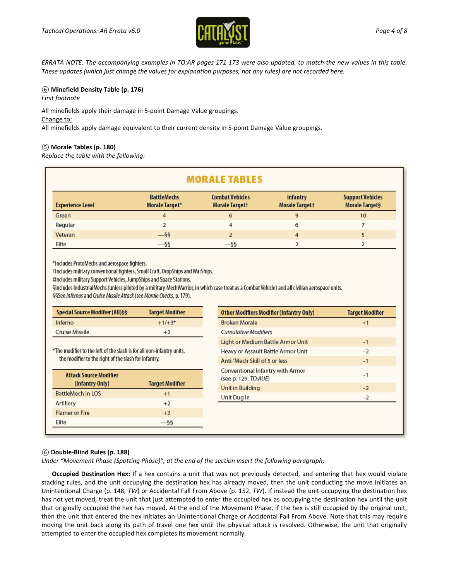

*ERRATA NOTE: The accompanying examples in TO:AR pages 171-173 were also updated, to match the new values in this table. These updates (which just change the values for explanation purposes, not any rules) are not recorded here.*

# *⑥* **Minefield Density Table (p. 176)**

*First footnote*

All minefields apply their damage in 5-point Damage Value groupings.

#### Change to:

All minefields apply damage equivalent to their current density in 5-point Damage Value groupings.

# *⑤* **Morale Tables (p. 180)**

*Replace the table with the following:*

| <b>MORALE TABLES</b>    |                                      |                                                 |                                   |                                           |  |
|-------------------------|--------------------------------------|-------------------------------------------------|-----------------------------------|-------------------------------------------|--|
| <b>Experience Level</b> | <b>BattleMechs</b><br>Morale Target* | <b>Combat Vehicles</b><br><b>Morale Targett</b> | <b>Infantry</b><br>Morale Target# | <b>Support Vehicles</b><br>Morale Target§ |  |
| Green                   | 4                                    | 6                                               | 9                                 | 10                                        |  |
| Regular                 | $\overline{2}$                       | 4                                               | 6                                 |                                           |  |
| Veteran                 | $-$ §§                               |                                                 | 4                                 |                                           |  |
| Elite                   | $-$ §§                               | $-$ §§                                          |                                   |                                           |  |

\*Includes ProtoMechs and aerospace fighters.

tIncludes military conventional fighters, Small Craft, DropShips and WarShips.

#Includes military Support Vehicles, JumpShips and Space Stations.

Sincludes IndustrialMechs (unless piloted by a military MechWarrior, in which case treat as a Combat Vehicle) and all civilian aerospace units. §§See Infernos and Cruise Missile Attack (see Morale Checks, p. 179).

| Special Source Modifier (All)§§ | <b>Target Modifier</b> |
|---------------------------------|------------------------|
| Inferno                         | $+1/+3*$               |
| Cruise Missile                  | $+2$                   |

\*The modifier to the left of the slash is for all non-infantry units, the modifier to the right of the slash for infantry.

| <b>Attack Source Modifier</b> |                        |
|-------------------------------|------------------------|
| (Infantry Only)               | <b>Target Modifier</b> |
| <b>BattleMech in LOS</b>      | $+1$                   |
| Artillery                     | $+2$                   |
| <b>Flamer or Fire</b>         | $+3$                   |
| Elite                         |                        |
|                               |                        |

| <b>Other Modifiers Modifier (Infantry Only)</b>                 | <b>Target Modifier</b> |
|-----------------------------------------------------------------|------------------------|
| <b>Broken Morale</b>                                            | $+1$                   |
| <b>Cumulative Modifiers</b>                                     |                        |
| Light or Medium Battle Armor Unit                               | $-1$                   |
| Heavy or Assault Battle Armor Unit                              | $-2$                   |
| Anti-'Mech Skill of 5 or less                                   | $-1$                   |
| <b>Conventional Infantry with Armor</b><br>(see p. 129, TO:AUE) | $-1$                   |
| Unit in Building                                                | $-2$                   |
| Unit Dug In                                                     | $-2$                   |
|                                                                 |                        |
|                                                                 |                        |
|                                                                 |                        |

#### *⑥* **Double-Blind Rules (p. 188)**

*Under "Movement Phase (Spotting Phase)", at the end of the section insert the following paragraph:*

**Occupied Destination Hex:** If a hex contains a unit that was not previously detected, and entering that hex would violate stacking rules, and the unit occupying the destination hex has already moved, then the unit conducting the move initiates an Unintentional Charge (p. 148, *TW*) or Accidental Fall From Above (p. 152, *TW*). If instead the unit occupying the destination hex has not yet moved, treat the unit that just attempted to enter the occupied hex as occupying the destination hex until the unit that originally occupied the hex has moved. At the end of the Movement Phase, if the hex is still occupied by the original unit, then the unit that entered the hex initiates an Unintentional Charge or Accidental Fall From Above. Note that this may require moving the unit back along its path of travel one hex until the physical attack is resolved. Otherwise, the unit that originally attempted to enter the occupied hex completes its movement normally.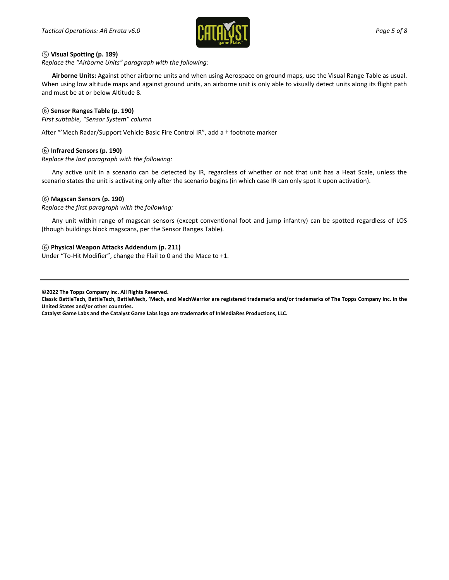

### *⑤* **Visual Spotting (p. 189)**

*Replace the "Airborne Units" paragraph with the following:*

**Airborne Units:** Against other airborne units and when using Aerospace on ground maps, use the Visual Range Table as usual. When using low altitude maps and against ground units, an airborne unit is only able to visually detect units along its flight path and must be at or below Altitude 8.

#### *⑥* **Sensor Ranges Table (p. 190)**

*First subtable, "Sensor System" column*

After "'Mech Radar/Support Vehicle Basic Fire Control IR", add a † footnote marker

#### *⑥* **Infrared Sensors (p. 190)**

*Replace the last paragraph with the following:*

Any active unit in a scenario can be detected by IR, regardless of whether or not that unit has a Heat Scale, unless the scenario states the unit is activating only after the scenario begins (in which case IR can only spot it upon activation).

#### *⑥* **Magscan Sensors (p. 190)**

*Replace the first paragraph with the following:*

Any unit within range of magscan sensors (except conventional foot and jump infantry) can be spotted regardless of LOS (though buildings block magscans, per the Sensor Ranges Table).

#### *⑥* **Physical Weapon Attacks Addendum (p. 211)**

Under "To-Hit Modifier", change the Flail to 0 and the Mace to +1.

**©2022 The Topps Company Inc. All Rights Reserved.**

**Classic BattleTech, BattleTech, BattleMech, 'Mech, and MechWarrior are registered trademarks and/or trademarks of The Topps Company Inc. in the United States and/or other countries.**

**Catalyst Game Labs and the Catalyst Game Labs logo are trademarks of InMediaRes Productions, LLC.**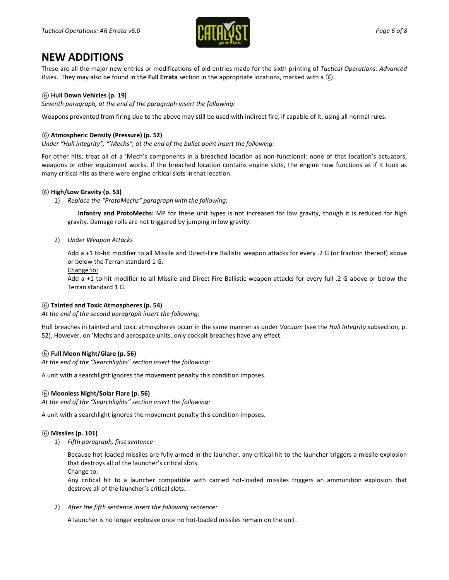

# **NEW ADDITIONS**

These are all the major new entries or modifications of old entries made for the sixth printing of *Tactical Operations: Advanced Rules*. They may also be found in the **Full Errata** section in the appropriate locations, marked with a *⑥*.

# *⑥* **Hull Down Vehicles (p. 19)**

*Seventh paragraph, at the end of the paragraph insert the following:*

Weapons prevented from firing due to the above may still be used with indirect fire, if capable of it, using all normal rules.

### *⑥* **Atmospheric Density (Pressure) (p. 52)**

*Under "Hull Integrity", "'Mechs", at the end of the bullet point insert the following:*

For other hits, treat all of a 'Mech's components in a breached location as non-functional: none of that location's actuators, weapons or other equipment works. If the breached location contains engine slots, the engine now functions as if it took as many critical hits as there were engine critical slots in that location.

#### *⑥* **High/Low Gravity (p. 53)**

1) *Replace the "ProtoMechs" paragraph with the following:*

**Infantry and ProtoMechs:** MP for these unit types is not increased for low gravity, though it is reduced for high gravity. Damage rolls are not triggered by jumping in low gravity.

2) *Under Weapon Attacks*

Add a +1 to-hit modifier to all Missile and Direct-Fire Ballistic weapon attacks for every .2 G (or fraction thereof) above or below the Terran standard 1 G.

Change to:

Add a +1 to-hit modifier to all Missile and Direct-Fire Ballistic weapon attacks for every full .2 G above or below the Terran standard 1 G.

#### *⑥* **Tainted and Toxic Atmospheres (p. 54)**

*At the end of the second paragraph insert the following:*

Hull breaches in tainted and toxic atmospheres occur in the same manner as under *Vacuum* (see the *Hull Integrity* subsection, p. 52). However, on 'Mechs and aerospace units, only cockpit breaches have any effect.

#### *⑥* **Full Moon Night/Glare (p. 56)**

*At the end of the "Searchlights" section insert the following:*

A unit with a searchlight ignores the movement penalty this condition imposes.

#### *⑥* **Moonless Night/Solar Flare (p. 56)**

*At the end of the "Searchlights" section insert the following:*

A unit with a searchlight ignores the movement penalty this condition imposes.

#### *⑥* **Missiles (p. 101)**

1) *Fifth paragraph, first sentence*

Because hot-loaded missiles are fully armed in the launcher, any critical hit to the launcher triggers a missile explosion that destroys all of the launcher's critical slots.

Change to:

Any critical hit to a launcher compatible with carried hot-loaded missiles triggers an ammunition explosion that destroys all of the launcher's critical slots.

2) *After the fifth sentence insert the following sentence:*

A launcher is no longer explosive once no hot-loaded missiles remain on the unit.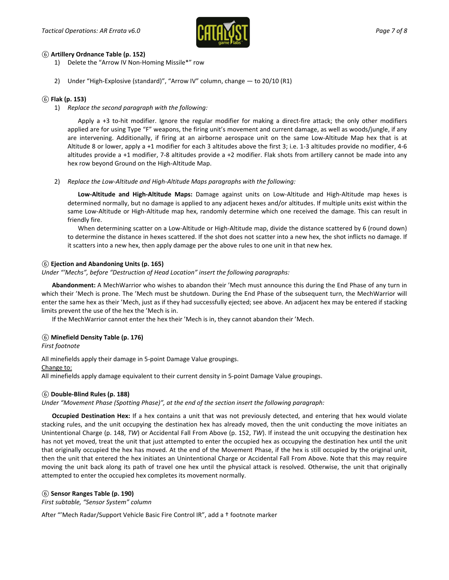

### *⑥* **Artillery Ordnance Table (p. 152)**

1) Delete the "Arrow IV Non-Homing Missile\*" row

2) Under "High-Explosive (standard)", "Arrow IV" column, change — to 20/10 (R1)

# *⑥* **Flak (p. 153)**

1) *Replace the second paragraph with the following:*

Apply a +3 to-hit modifier. Ignore the regular modifier for making a direct-fire attack; the only other modifiers applied are for using Type "F" weapons, the firing unit's movement and current damage, as well as woods/jungle, if any are intervening. Additionally, if firing at an airborne aerospace unit on the same Low-Altitude Map hex that is at Altitude 8 or lower, apply a +1 modifier for each 3 altitudes above the first 3; i.e. 1-3 altitudes provide no modifier, 4-6 altitudes provide a +1 modifier, 7-8 altitudes provide a +2 modifier. Flak shots from artillery cannot be made into any hex row beyond Ground on the High-Altitude Map.

2) *Replace the Low-Altitude and High-Altitude Maps paragraphs with the following:*

**Low-Altitude and High-Altitude Maps:** Damage against units on Low-Altitude and High-Altitude map hexes is determined normally, but no damage is applied to any adjacent hexes and/or altitudes. If multiple units exist within the same Low-Altitude or High-Altitude map hex, randomly determine which one received the damage. This can result in friendly fire.

When determining scatter on a Low-Altitude or High-Altitude map, divide the distance scattered by 6 (round down) to determine the distance in hexes scattered. If the shot does not scatter into a new hex, the shot inflicts no damage. If it scatters into a new hex, then apply damage per the above rules to one unit in that new hex.

# *⑥* **Ejection and Abandoning Units (p. 165)**

*Under "'Mechs", before "Destruction of Head Location" insert the following paragraphs:*

**Abandonment:** A MechWarrior who wishes to abandon their 'Mech must announce this during the End Phase of any turn in which their 'Mech is prone. The 'Mech must be shutdown. During the End Phase of the subsequent turn, the MechWarrior will enter the same hex as their 'Mech, just as if they had successfully ejected; see above. An adjacent hex may be entered if stacking limits prevent the use of the hex the 'Mech is in.

If the MechWarrior cannot enter the hex their 'Mech is in, they cannot abandon their 'Mech.

# *⑥* **Minefield Density Table (p. 176)**

*First footnote*

All minefields apply their damage in 5-point Damage Value groupings.

Change to:

All minefields apply damage equivalent to their current density in 5-point Damage Value groupings.

#### *⑥* **Double-Blind Rules (p. 188)**

*Under "Movement Phase (Spotting Phase)", at the end of the section insert the following paragraph:*

**Occupied Destination Hex:** If a hex contains a unit that was not previously detected, and entering that hex would violate stacking rules, and the unit occupying the destination hex has already moved, then the unit conducting the move initiates an Unintentional Charge (p. 148, *TW*) or Accidental Fall From Above (p. 152, *TW*). If instead the unit occupying the destination hex has not yet moved, treat the unit that just attempted to enter the occupied hex as occupying the destination hex until the unit that originally occupied the hex has moved. At the end of the Movement Phase, if the hex is still occupied by the original unit, then the unit that entered the hex initiates an Unintentional Charge or Accidental Fall From Above. Note that this may require moving the unit back along its path of travel one hex until the physical attack is resolved. Otherwise, the unit that originally attempted to enter the occupied hex completes its movement normally.

#### *⑥* **Sensor Ranges Table (p. 190)**

*First subtable, "Sensor System" column*

After "'Mech Radar/Support Vehicle Basic Fire Control IR", add a † footnote marker